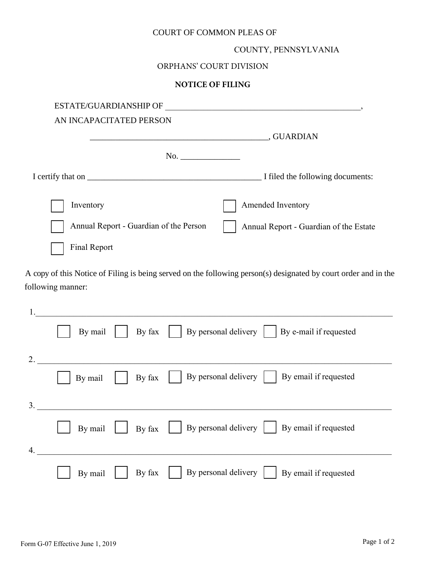## COUNTY, PENNSYLVANIA

### ORPHANS' COURT DIVISION

#### **NOTICE OF FILING**

| <b>ESTATE/GUARDIANSHIP OF</b>                                                                                                                                                                                                        |                                        |
|--------------------------------------------------------------------------------------------------------------------------------------------------------------------------------------------------------------------------------------|----------------------------------------|
| AN INCAPACITATED PERSON                                                                                                                                                                                                              |                                        |
|                                                                                                                                                                                                                                      | , GUARDIAN                             |
| No. $\qquad \qquad$                                                                                                                                                                                                                  |                                        |
| I certify that on <u>the same set of the same set of the same set of the same set of the same set of the same set of the same set of the same set of the same set of the same set of the same set of the same set of the same se</u> | I filed the following documents:       |
| Inventory                                                                                                                                                                                                                            | Amended Inventory                      |
| Annual Report - Guardian of the Person                                                                                                                                                                                               | Annual Report - Guardian of the Estate |
| <b>Final Report</b>                                                                                                                                                                                                                  |                                        |

A copy of this Notice of Filing is being served on the following person(s) designated by court order and in the following manner:

| 1. |                                                                       |                                                |
|----|-----------------------------------------------------------------------|------------------------------------------------|
|    | By fax     By personal delivery     By e-mail if requested<br>By mail |                                                |
| 2. |                                                                       |                                                |
|    | By fax     By personal delivery     By email if requested<br>By mail  |                                                |
| 3. |                                                                       |                                                |
|    | By fax   By personal delivery   By email if requested<br>By mail      |                                                |
| 4. |                                                                       |                                                |
|    | By fax<br>By mail                                                     | By personal delivery     By email if requested |